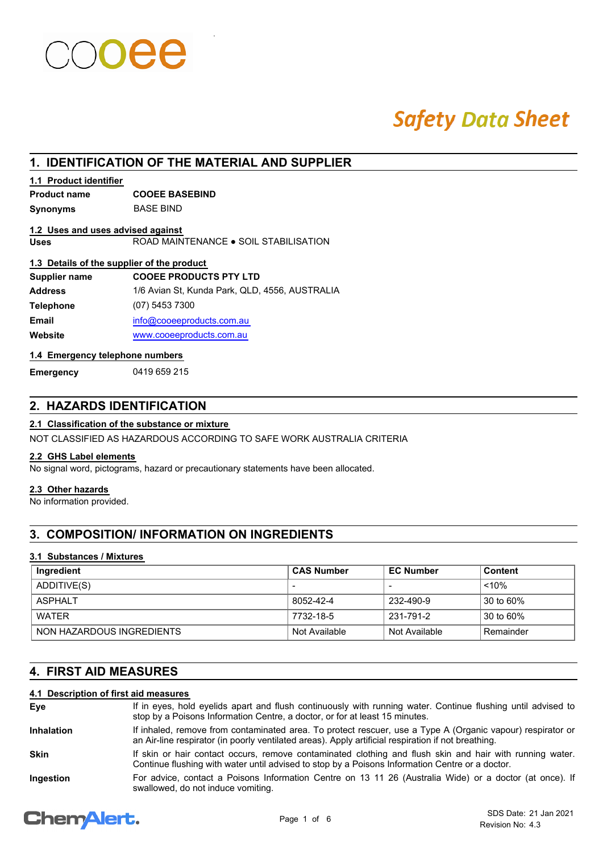# **Safety Data Sheet**

## **1. IDENTIFICATION OF THE MATERIAL AND SUPPLIER**

### **1.1 Product identifier**

**Product name COOEE BASEBIND**

**Synonyms** BASE BIND

### **1.2 Uses and uses advised against**

**Uses** ROAD MAINTENANCE ● SOIL STABILISATION

#### **1.3 Details of the supplier of the product**

| Supplier name    | <b>COOEE PRODUCTS PTY LTD</b>                  |
|------------------|------------------------------------------------|
| <b>Address</b>   | 1/6 Avian St, Kunda Park, QLD, 4556, AUSTRALIA |
| <b>Telephone</b> | (07) 5453 7300                                 |
| Email            | info@cooeeproducts.com.au                      |
| Website          | www.cooeeproducts.com.au                       |
|                  |                                                |

#### **1.4 Emergency telephone numbers**

**Emergency** 0419 659 215

## **2. HAZARDS IDENTIFICATION**

## **2.1 Classification of the substance or mixture**

NOT CLASSIFIED AS HAZARDOUS ACCORDING TO SAFE WORK AUSTRALIA CRITERIA

#### **2.2 GHS Label elements**

No signal word, pictograms, hazard or precautionary statements have been allocated.

#### **2.3 Other hazards**

No information provided.

## **3. COMPOSITION/ INFORMATION ON INGREDIENTS**

#### **3.1 Substances / Mixtures**

| Ingredient                | <b>CAS Number</b>        | <b>EC Number</b> | <b>Content</b> |
|---------------------------|--------------------------|------------------|----------------|
| ADDITIVE(S)               | $\overline{\phantom{a}}$ |                  | < 10%          |
| ASPHAI T                  | 8052-42-4                | 232-490-9        | 30 to 60%      |
| WATFR                     | 7732-18-5                | 231-791-2        | 30 to 60%      |
| NON HAZARDOUS INGREDIENTS | Not Available            | Not Available    | Remainder      |

## **4. FIRST AID MEASURES**

### **4.1 Description of first aid measures**

| Eve               | If in eyes, hold eyelids apart and flush continuously with running water. Continue flushing until advised to<br>stop by a Poisons Information Centre, a doctor, or for at least 15 minutes.                       |
|-------------------|-------------------------------------------------------------------------------------------------------------------------------------------------------------------------------------------------------------------|
| <b>Inhalation</b> | If inhaled, remove from contaminated area. To protect rescuer, use a Type A (Organic vapour) respirator or<br>an Air-line respirator (in poorly ventilated areas). Apply artificial respiration if not breathing. |
| <b>Skin</b>       | If skin or hair contact occurs, remove contaminated clothing and flush skin and hair with running water.<br>Continue flushing with water until advised to stop by a Poisons Information Centre or a doctor.       |
| Ingestion         | For advice, contact a Poisons Information Centre on 13 11 26 (Australia Wide) or a doctor (at once). If<br>swallowed, do not induce vomiting.                                                                     |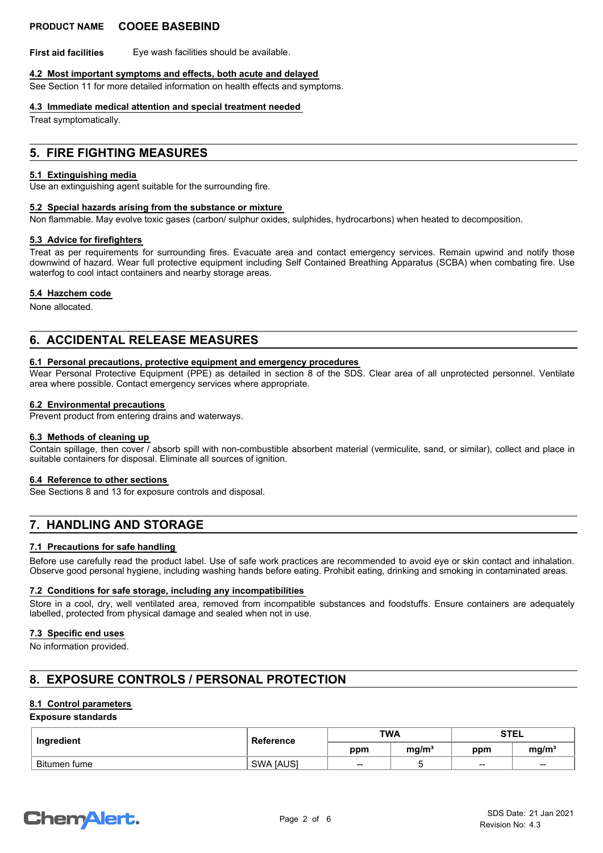**First aid facilities** Eye wash facilities should be available.

#### **4.2 Most important symptoms and effects, both acute and delayed**

See Section 11 for more detailed information on health effects and symptoms.

#### **4.3 Immediate medical attention and special treatment needed**

Treat symptomatically.

### **5. FIRE FIGHTING MEASURES**

#### **5.1 Extinguishing media**

Use an extinguishing agent suitable for the surrounding fire.

#### **5.2 Special hazards arising from the substance or mixture**

Non flammable. May evolve toxic gases (carbon/ sulphur oxides, sulphides, hydrocarbons) when heated to decomposition.

#### **5.3 Advice for firefighters**

Treat as per requirements for surrounding fires. Evacuate area and contact emergency services. Remain upwind and notify those downwind of hazard. Wear full protective equipment including Self Contained Breathing Apparatus (SCBA) when combating fire. Use waterfog to cool intact containers and nearby storage areas.

#### **5.4 Hazchem code**

None allocated.

## **6. ACCIDENTAL RELEASE MEASURES**

#### **6.1 Personal precautions, protective equipment and emergency procedures**

Wear Personal Protective Equipment (PPE) as detailed in section 8 of the SDS. Clear area of all unprotected personnel. Ventilate area where possible. Contact emergency services where appropriate.

#### **6.2 Environmental precautions**

**Prevent product from entering drains and waterways.** 

#### **6.3 Methods of cleaning up**

Contain spillage, then cover / absorb spill with non-combustible absorbent material (vermiculite, sand, or similar), collect and place in suitable containers for disposal. Eliminate all sources of ignition.

#### **6.4 Reference to other sections**

See Sections 8 and 13 for exposure controls and disposal.

## **7. HANDLING AND STORAGE**

#### **7.1 Precautions for safe handling**

Before use carefully read the product label. Use of safe work practices are recommended to avoid eye or skin contact and inhalation. Observe good personal hygiene, including washing hands before eating. Prohibit eating, drinking and smoking in contaminated areas.

#### **7.2 Conditions for safe storage, including any incompatibilities**

Store in a cool, dry, well ventilated area, removed from incompatible substances and foodstuffs. Ensure containers are adequately labelled, protected from physical damage and sealed when not in use.

#### **7.3 Specific end uses**

No information provided.

## **8. EXPOSURE CONTROLS / PERSONAL PROTECTION**

#### **8.1 Control parameters**

#### **Exposure standards**

| Ingredient   | Reference        | <b>TWA</b>      |                   | <b>STEL</b> |                   |
|--------------|------------------|-----------------|-------------------|-------------|-------------------|
|              |                  | ppm             | mg/m <sup>3</sup> | ppm         | mg/m <sup>3</sup> |
| Bitumen fume | <b>SWA JAUSI</b> | $\qquad \qquad$ |                   | $\sim$      | $\sim$            |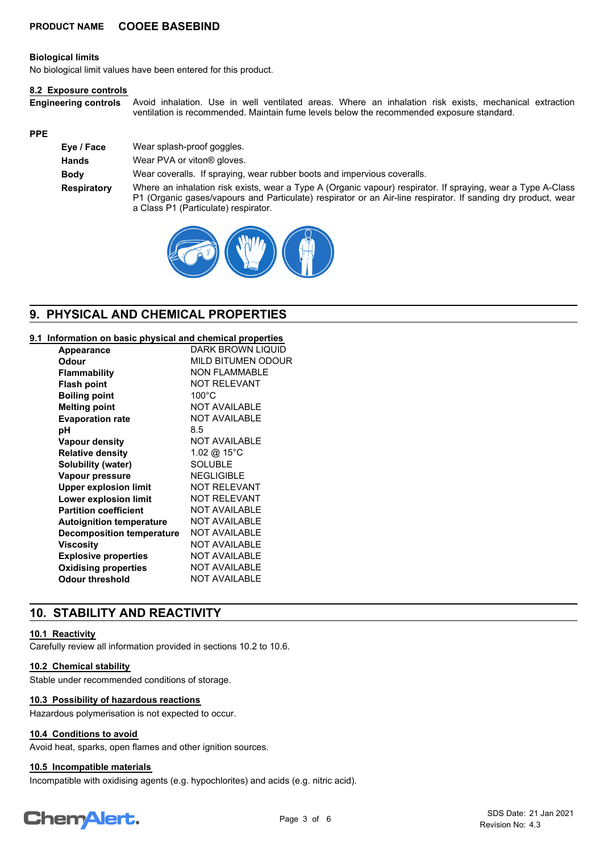#### **Biological limits**

No biological limit values have been entered for this product.

#### **8.2 Exposure controls**

Avoid inhalation. Use in well ventilated areas. Where an inhalation risk exists, mechanical extraction ventilation is recommended. Maintain fume levels below the recommended exposure standard. **Engineering controls**

#### **PPE**

| Eye / Face         | Wear splash-proof goggles.                                                                                                                                                                                                                                            |
|--------------------|-----------------------------------------------------------------------------------------------------------------------------------------------------------------------------------------------------------------------------------------------------------------------|
| <b>Hands</b>       | Wear PVA or viton <sup>®</sup> gloves.                                                                                                                                                                                                                                |
| Body               | Wear coveralls. If spraying, wear rubber boots and impervious coveralls.                                                                                                                                                                                              |
| <b>Respiratory</b> | Where an inhalation risk exists, wear a Type A (Organic vapour) respirator. If spraying, wear a Type A-Class<br>P1 (Organic gases/vapours and Particulate) respirator or an Air-line respirator. If sanding dry product, wear<br>a Class P1 (Particulate) respirator. |



## **9. PHYSICAL AND CHEMICAL PROPERTIES**

#### **9.1 Information on basic physical and chemical properties**

| Appearance                       | <b>DARK BROWN LIQUID</b>  |
|----------------------------------|---------------------------|
| Odour                            | <b>MILD BITUMEN ODOUR</b> |
| <b>Flammability</b>              | <b>NON FLAMMABLE</b>      |
| <b>Flash point</b>               | <b>NOT RELEVANT</b>       |
| <b>Boiling point</b>             | $100^{\circ}$ C           |
| <b>Melting point</b>             | <b>NOT AVAILABLE</b>      |
| <b>Evaporation rate</b>          | <b>NOT AVAILABLE</b>      |
| рH                               | 8.5                       |
| <b>Vapour density</b>            | <b>NOT AVAILABLE</b>      |
| <b>Relative density</b>          | 1.02 @ 15°C               |
| Solubility (water)               | <b>SOLUBLE</b>            |
| Vapour pressure                  | <b>NEGLIGIBLE</b>         |
| <b>Upper explosion limit</b>     | <b>NOT RELEVANT</b>       |
| Lower explosion limit            | <b>NOT RELEVANT</b>       |
| <b>Partition coefficient</b>     | <b>NOT AVAILABLE</b>      |
| <b>Autoignition temperature</b>  | <b>NOT AVAILABLE</b>      |
| <b>Decomposition temperature</b> | <b>NOT AVAILABLE</b>      |
| <b>Viscosity</b>                 | <b>NOT AVAILABLE</b>      |
| <b>Explosive properties</b>      | <b>NOT AVAILABLE</b>      |
| <b>Oxidising properties</b>      | <b>NOT AVAILABLE</b>      |
| <b>Odour threshold</b>           | <b>NOT AVAILABLE</b>      |

## **10. STABILITY AND REACTIVITY**

#### **10.1 Reactivity**

Carefully review all information provided in sections 10.2 to 10.6.

#### **10.2 Chemical stability**

Stable under recommended conditions of storage.

#### **10.3 Possibility of hazardous reactions**

Hazardous polymerisation is not expected to occur.

#### **10.4 Conditions to avoid**

Avoid heat, sparks, open flames and other ignition sources.

#### **10.5 Incompatible materials**

Incompatible with oxidising agents (e.g. hypochlorites) and acids (e.g. nitric acid).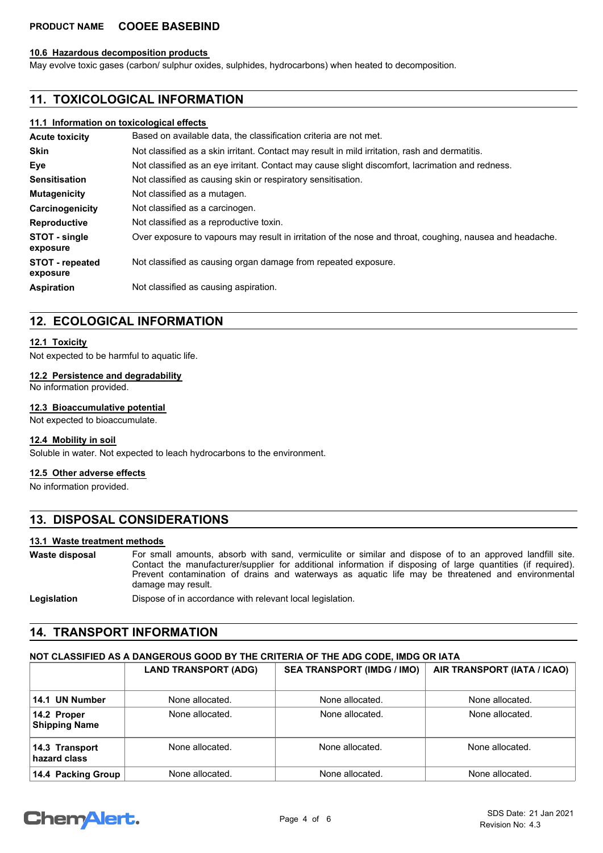#### **10.6 Hazardous decomposition products**

May evolve toxic gases (carbon/ sulphur oxides, sulphides, hydrocarbons) when heated to decomposition.

### **11. TOXICOLOGICAL INFORMATION**

#### **11.1 Information on toxicological effects**

| <b>Acute toxicity</b>              | Based on available data, the classification criteria are not met.                                        |  |  |
|------------------------------------|----------------------------------------------------------------------------------------------------------|--|--|
| <b>Skin</b>                        | Not classified as a skin irritant. Contact may result in mild irritation, rash and dermatitis.           |  |  |
| Eye                                | Not classified as an eye irritant. Contact may cause slight discomfort, lacrimation and redness.         |  |  |
| <b>Sensitisation</b>               | Not classified as causing skin or respiratory sensitisation.                                             |  |  |
| <b>Mutagenicity</b>                | Not classified as a mutagen.                                                                             |  |  |
| Carcinogenicity                    | Not classified as a carcinogen.                                                                          |  |  |
| <b>Reproductive</b>                | Not classified as a reproductive toxin.                                                                  |  |  |
| STOT - single<br>exposure          | Over exposure to vapours may result in irritation of the nose and throat, coughing, nausea and headache. |  |  |
| <b>STOT</b> - repeated<br>exposure | Not classified as causing organ damage from repeated exposure.                                           |  |  |
| <b>Aspiration</b>                  | Not classified as causing aspiration.                                                                    |  |  |

### **12. ECOLOGICAL INFORMATION**

#### **12.1 Toxicity**

Not expected to be harmful to aquatic life.

#### **12.2 Persistence and degradability**

No information provided.

#### **12.3 Bioaccumulative potential**

Not expected to bioaccumulate.

#### **12.4 Mobility in soil**

Soluble in water. Not expected to leach hydrocarbons to the environment.

#### **12.5 Other adverse effects**

No information provided.

## **13. DISPOSAL CONSIDERATIONS**

#### **13.1 Waste treatment methods**

For small amounts, absorb with sand, vermiculite or similar and dispose of to an approved landfill site. Contact the manufacturer/supplier for additional information if disposing of large quantities (if required). Prevent contamination of drains and waterways as aquatic life may be threatened and environmental damage may result. **Waste disposal**

Legislation **Dispose of in accordance with relevant local legislation.** 

### **14. TRANSPORT INFORMATION**

#### **NOT CLASSIFIED AS A DANGEROUS GOOD BY THE CRITERIA OF THE ADG CODE, IMDG OR IATA**

|                                     | <b>LAND TRANSPORT (ADG)</b> | <b>SEA TRANSPORT (IMDG / IMO)</b> | AIR TRANSPORT (IATA / ICAO) |
|-------------------------------------|-----------------------------|-----------------------------------|-----------------------------|
| 14.1 UN Number                      | None allocated.             | None allocated.                   | None allocated.             |
| 14.2 Proper<br><b>Shipping Name</b> | None allocated.             | None allocated.                   | None allocated.             |
| 14.3 Transport<br>hazard class      | None allocated.             | None allocated.                   | None allocated.             |
| 14.4 Packing Group                  | None allocated.             | None allocated.                   | None allocated.             |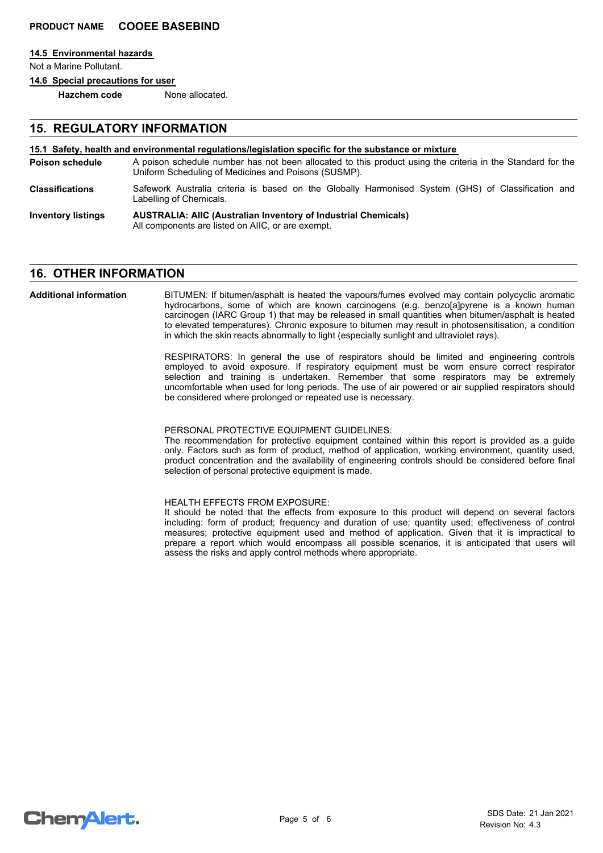#### **14.5 Environmental hazards**

Not a Marine Pollutant.

**14.6 Special precautions for user**

**Hazchem code** None allocated.

### **15. REGULATORY INFORMATION**

#### **15.1 Safety, health and environmental regulations/legislation specific for the substance or mixture**

- A poison schedule number has not been allocated to this product using the criteria in the Standard for the Uniform Scheduling of Medicines and Poisons (SUSMP). **Poison schedule**
- Safework Australia criteria is based on the Globally Harmonised System (GHS) of Classification and Labelling of Chemicals. **Classifications**
- **AUSTRALIA: AIIC (Australian Inventory of Industrial Chemicals)** All components are listed on AIIC, or are exempt. **Inventory listings**

### **16. OTHER INFORMATION**

BITUMEN: If bitumen/asphalt is heated the vapours/fumes evolved may contain polycyclic aromatic hydrocarbons, some of which are known carcinogens (e.g. benzo[a]pyrene is a known human carcinogen (IARC Group 1) that may be released in small quantities when bitumen/asphalt is heated to elevated temperatures). Chronic exposure to bitumen may result in photosensitisation, a condition in which the skin reacts abnormally to light (especially sunlight and ultraviolet rays). **Additional information**

> RESPIRATORS: In general the use of respirators should be limited and engineering controls employed to avoid exposure. If respiratory equipment must be worn ensure correct respirator selection and training is undertaken. Remember that some respirators may be extremely uncomfortable when used for long periods. The use of air powered or air supplied respirators should be considered where prolonged or repeated use is necessary.

#### PERSONAL PROTECTIVE EQUIPMENT GUIDELINES:

The recommendation for protective equipment contained within this report is provided as a guide only. Factors such as form of product, method of application, working environment, quantity used, product concentration and the availability of engineering controls should be considered before final selection of personal protective equipment is made.

#### HEALTH EFFECTS FROM EXPOSURE:

It should be noted that the effects from exposure to this product will depend on several factors including: form of product; frequency and duration of use; quantity used; effectiveness of control measures; protective equipment used and method of application. Given that it is impractical to prepare a report which would encompass all possible scenarios, it is anticipated that users will assess the risks and apply control methods where appropriate.